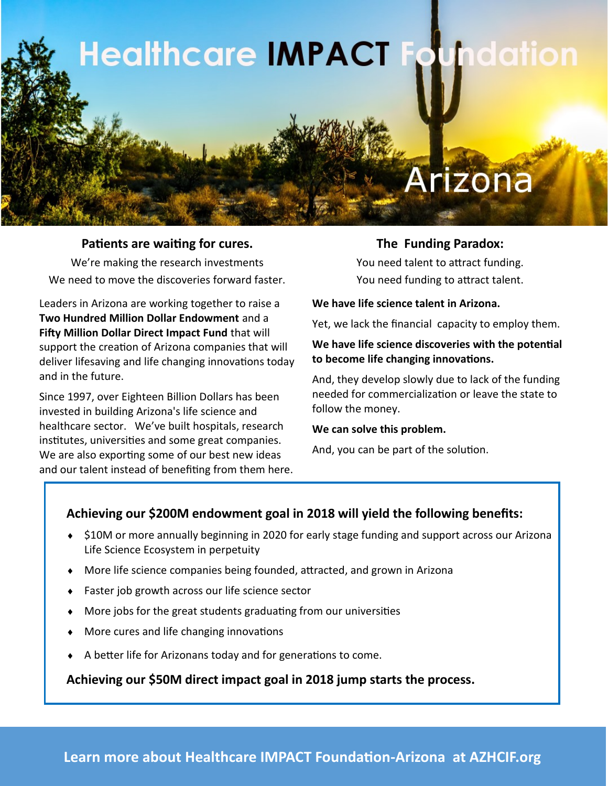

#### **Patients are waiting for cures.**

We're making the research investments We need to move the discoveries forward faster.

Leaders in Arizona are working together to raise a **Two Hundred Million Dollar Endowment** and a **Fifty Million Dollar Direct Impact Fund** that will support the creation of Arizona companies that will deliver lifesaving and life changing innovations today and in the future.

Since 1997, over Eighteen Billion Dollars has been invested in building Arizona's life science and healthcare sector. We've built hospitals, research institutes, universities and some great companies. We are also exporting some of our best new ideas and our talent instead of benefiting from them here.

### **The Funding Paradox:**

You need talent to attract funding. You need funding to attract talent.

#### **We have life science talent in Arizona.**

Yet, we lack the financial capacity to employ them.

#### **We have life science discoveries with the potential to become life changing innovations.**

And, they develop slowly due to lack of the funding needed for commercialization or leave the state to follow the money.

#### **We can solve this problem.**

And, you can be part of the solution.

# **Achieving our \$200M endowment goal in 2018 will yield the following benefits:**

- ◆ \$10M or more annually beginning in 2020 for early stage funding and support across our Arizona Life Science Ecosystem in perpetuity
- More life science companies being founded, attracted, and grown in Arizona
- Faster job growth across our life science sector
- More jobs for the great students graduating from our universities
- More cures and life changing innovations
- A better life for Arizonans today and for generations to come.

**Achieving our \$50M direct impact goal in 2018 jump starts the process.**